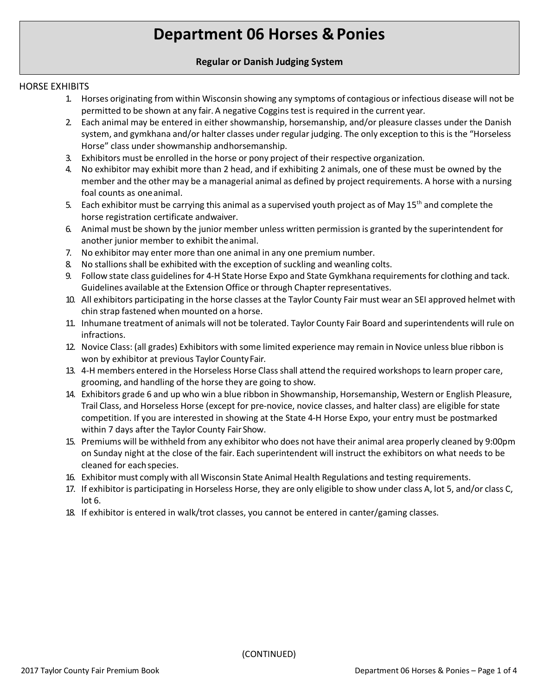# **Department 06 Horses & Ponies**

# **Regular or Danish Judging System**

## HORSE EXHIBITS

- 1. Horses originating from within Wisconsin showing any symptoms of contagious or infectious disease will not be permitted to be shown at any fair. A negative Cogginstest is required in the current year.
- 2. Each animal may be entered in either showmanship, horsemanship, and/or pleasure classes under the Danish system, and gymkhana and/or halter classes under regular judging. The only exception to this is the "Horseless Horse" class under showmanship andhorsemanship.
- 3. Exhibitors must be enrolled in the horse or pony project of their respective organization.
- 4. No exhibitor may exhibit more than 2 head, and if exhibiting 2 animals, one of these must be owned by the member and the other may be a managerial animal as defined by project requirements. A horse with a nursing foal counts as oneanimal.
- 5. Each exhibitor must be carrying this animal as a supervised youth project as of May  $15<sup>th</sup>$  and complete the horse registration certificate andwaiver.
- 6. Animal must be shown by the junior member unless written permission is granted by the superintendent for another junior member to exhibit theanimal.
- 7. No exhibitor may enter more than one animal in any one premium number.
- 8. No stallions shall be exhibited with the exception of suckling and weanling colts.
- 9. Follow state class guidelines for 4-H State Horse Expo and State Gymkhana requirements for clothing and tack. Guidelines available at the Extension Office or through Chapter representatives.
- 10. All exhibitors participating in the horse classes at the Taylor County Fair must wear an SEI approved helmet with chin strap fastened when mounted on a horse.
- 11. Inhumane treatment of animals will not be tolerated. Taylor County Fair Board and superintendents will rule on infractions.
- 12. Novice Class: (all grades) Exhibitors with some limited experience may remain in Novice unless blue ribbon is won by exhibitor at previous Taylor County Fair.
- 13. 4-H members entered in the Horseless Horse Class shall attend the required workshopsto learn proper care, grooming, and handling of the horse they are going to show.
- 14. Exhibitors grade 6 and up who win a blue ribbon in Showmanship, Horsemanship, Western or English Pleasure, Trail Class, and Horseless Horse (except for pre-novice, novice classes, and halter class) are eligible for state competition. If you are interested in showing at the State 4-H Horse Expo, your entry must be postmarked within 7 days after the Taylor County Fair Show.
- 15. Premiums will be withheld from any exhibitor who does not have their animal area properly cleaned by 9:00pm on Sunday night at the close of the fair. Each superintendent will instruct the exhibitors on what needs to be cleaned for eachspecies.
- 16. Exhibitor must comply with all Wisconsin State Animal Health Regulations and testing requirements.
- 17. If exhibitor is participating in Horseless Horse, they are only eligible to show under class A, lot 5, and/or class C, lot 6.
- 18. If exhibitor is entered in walk/trot classes, you cannot be entered in canter/gaming classes.

(CONTINUED)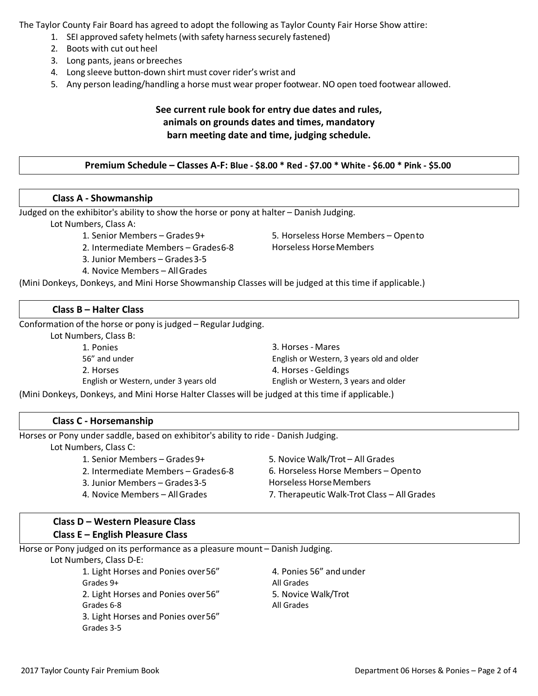The Taylor County Fair Board has agreed to adopt the following as Taylor County Fair Horse Show attire:

- 1. SEI approved safety helmets (with safety harness securely fastened)
- 2. Boots with cut out heel
- 3. Long pants, jeans orbreeches
- 4. Long sleeve button-down shirt must cover rider's wrist and
- 5. Any person leading/handling a horse must wear proper footwear. NO open toed footwear allowed.

# **See current rule book for entry due dates and rules, animals on grounds dates and times, mandatory barn meeting date and time, judging schedule.**

## **Premium Schedule – Classes A-F: Blue - \$8.00 \* Red - \$7.00 \* White - \$6.00 \* Pink - \$5.00**

## **Class A - Showmanship**

Judged on the exhibitor's ability to show the horse or pony at halter – Danish Judging.

Lot Numbers, Class A:

- 1. Senior Members Grades 9+
- 2. Intermediate Members Grades6-8
- 3. Junior Members Grades3-5
- 4. Novice Members AllGrades

5. Horseless Horse Members – Opento Horseless Horse Members

(Mini Donkeys, Donkeys, and Mini Horse Showmanship Classes will be judged at this time if applicable.)

#### **Class B – Halter Class**

Conformation of the horse or pony is judged – Regular Judging.

Lot Numbers, Class B:

| 1. Ponies                             | 3. Horses - Mares                         |
|---------------------------------------|-------------------------------------------|
| 56" and under                         | English or Western, 3 years old and older |
| 2. Horses                             | 4. Horses - Geldings                      |
| English or Western, under 3 years old | English or Western, 3 years and older     |
|                                       |                                           |

(Mini Donkeys, Donkeys, and Mini Horse Halter Classes will be judged at this time if applicable.)

## **Class C - Horsemanship**

Horses or Pony under saddle, based on exhibitor's ability to ride - Danish Judging.

Lot Numbers, Class C:

1. Senior Members – Grades 9+ 2. Intermediate Members – Grades6-8 3. Junior Members – Grades3-5 4. Novice Members – AllGrades 5. Novice Walk/Trot – All Grades 6. Horseless Horse Members – Opento Horseless HorseMembers 7. Therapeutic Walk-Trot Class – All Grades

# **Class D – Western Pleasure Class Class E – English Pleasure Class**

Horse or Pony judged on its performance as a pleasure mount – Danish Judging.

Lot Numbers, Class D-E:

1. Light Horses and Ponies over56" Grades 9+ 2. Light Horses and Ponies over56" Grades 6-8 3. Light Horses and Ponies over56" Grades 3-5

4. Ponies 56" and under All Grades 5. Novice Walk/Trot All Grades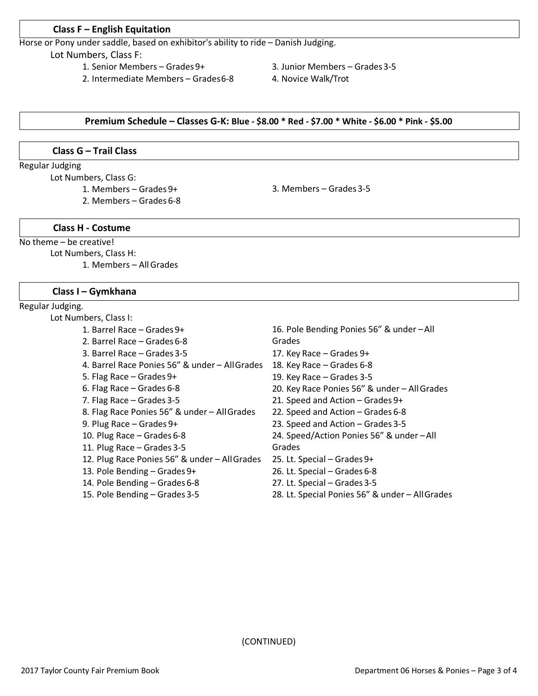#### **Class F – English Equitation**

Horse or Pony under saddle, based on exhibitor's ability to ride – Danish Judging.

Lot Numbers, Class F:

- 1. Senior Members Grades 9+
- 2. Intermediate Members Grades6-8
- 3. Junior Members Grades3-5
- 4. Novice Walk/Trot

#### **Premium Schedule – Classes G-K: Blue - \$8.00 \* Red - \$7.00 \* White - \$6.00 \* Pink - \$5.00**

#### **Class G – Trail Class**

Regular Judging

Lot Numbers, Class G:

- 1. Members Grades 9+
- 2. Members Grades 6-8

3. Members – Grades 3-5

## **Class H - Costume**

No theme – be creative!

Lot Numbers, Class H:

1. Members – AllGrades

#### **Class I – Gymkhana**

#### Regular Judging.

#### Lot Numbers, Class I:

- 1. Barrel Race Grades 9+
- 2. Barrel Race Grades 6-8
- 3. Barrel Race Grades 3-5
- 4. Barrel Race Ponies 56" & under AllGrades 18. Key Race Grades 6-8
- 5. Flag Race Grades 9+
- 6. Flag Race Grades 6-8
- 7. Flag Race Grades 3-5
- 8. Flag Race Ponies 56" & under AllGrades
- 9. Plug Race Grades 9+
- 10. Plug Race Grades 6-8
- 11. Plug Race Grades 3-5
- 12. Plug Race Ponies 56" & under AllGrades
- 13. Pole Bending Grades 9+
- 14. Pole Bending Grades 6-8
- 15. Pole Bending Grades 3-5
- 16. Pole Bending Ponies 56" & under –All Grades 17. Key Race – Grades 9+ 19. Key Race – Grades 3-5 20. Key Race Ponies 56" & under – AllGrades 21. Speed and Action – Grades 9+ 22. Speed and Action – Grades 6-8 23. Speed and Action – Grades 3-5 24. Speed/Action Ponies 56" & under –All Grades 25. Lt. Special – Grades 9+ 26. Lt. Special – Grades 6-8 27. Lt. Special – Grades 3-5
- 28. Lt. Special Ponies 56" & under AllGrades